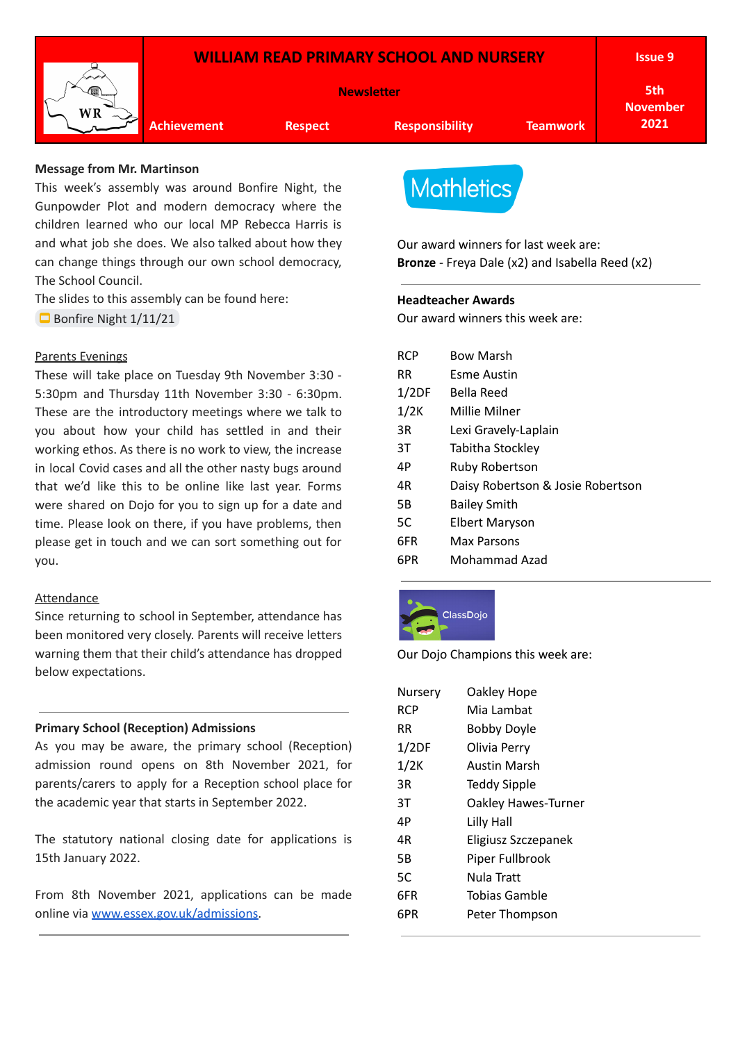

### **Message from Mr. Martinson**

This week's assembly was around Bonfire Night, the Gunpowder Plot and modern democracy where the children learned who our local MP Rebecca Harris is and what job she does. We also talked about how they can change things through our own school democracy, The School Council.

The slides to this assembly can be found here:

Bonfire Night [1/11/21](https://docs.google.com/presentation/d/16P1HzogkpgweowyAZwe1imkT-bLjxZAveBLekfn0_RU/edit?usp=sharing)

#### Parents Evenings

These will take place on Tuesday 9th November 3:30 - 5:30pm and Thursday 11th November 3:30 - 6:30pm. These are the introductory meetings where we talk to you about how your child has settled in and their working ethos. As there is no work to view, the increase in local Covid cases and all the other nasty bugs around that we'd like this to be online like last year. Forms were shared on Dojo for you to sign up for a date and time. Please look on there, if you have problems, then please get in touch and we can sort something out for you.

### Attendance

Since returning to school in September, attendance has been monitored very closely. Parents will receive letters warning them that their child's attendance has dropped below expectations.

### **Primary School (Reception) Admissions**

As you may be aware, the primary school (Reception) admission round opens on 8th November 2021, for parents/carers to apply for a Reception school place for the academic year that starts in September 2022.

The statutory national closing date for applications is 15th January 2022.

From 8th November 2021, applications can be made online via [www.essex.gov.uk/admissions.](https://eur02.safelinks.protection.outlook.com/?url=http%3A%2F%2Fwww.essex.gov.uk%2Fadmissions&data=02%7C01%7C%7C8f43dbc271a240fad7c908d865f65d02%7Ca8b4324f155c4215a0f17ed8cc9a992f%7C0%7C0%7C637371456074338329&sdata=RFWNgOFXo%2BnNr2xRGJ%2B9F%2FDGt6bHQKfXltgj0d0laCo%3D&reserved=0)

# **Mathletics**

Our award winners for last week are: **Bronze** - Freya Dale (x2) and Isabella Reed (x2)

### **Headteacher Awards**

Our award winners this week are:

| <b>RCP</b> | <b>Bow Marsh</b>                  |
|------------|-----------------------------------|
| RR.        | Esme Austin                       |
| 1/2DF      | Bella Reed                        |
| 1/2K       | Millie Milner                     |
| 3R         | Lexi Gravely-Laplain              |
| 3Τ         | Tabitha Stockley                  |
| 4P         | <b>Ruby Robertson</b>             |
| 4R         | Daisy Robertson & Josie Robertson |
| 5Β         | <b>Bailey Smith</b>               |
| 5C         | Elbert Maryson                    |
| 6FR        | Max Parsons                       |
| 6PR        | Mohammad Azad                     |
|            |                                   |



Our Dojo Champions this week are:

| Nursery    | Oakley Hope         |  |  |
|------------|---------------------|--|--|
| <b>RCP</b> | Mia Lambat          |  |  |
| RR         | Bobby Doyle         |  |  |
| 1/2DF      | Olivia Perry        |  |  |
| 1/2K       | <b>Austin Marsh</b> |  |  |
| ЗR         | Teddy Sipple        |  |  |
| ЗT         | Oakley Hawes-Turner |  |  |
| 4P         | Lilly Hall          |  |  |
| 4R         | Eligiusz Szczepanek |  |  |
| 5B         | Piper Fullbrook     |  |  |
| 5C         | Nula Tratt          |  |  |
| 6FR        | Tobias Gamble       |  |  |
| 6PR        | Peter Thompson      |  |  |
|            |                     |  |  |